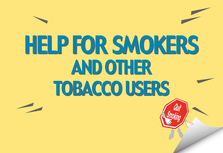# HELP FOR SMOKERS HELP FOR SMOKERS AND OTHER AND OTHER TOBACCO USERS TOBACCO USERS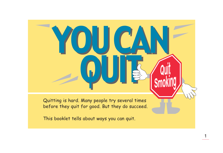Quitting is hard. Many people try several times before they quit for good. But they do succeed.

YOU CAN

YOU CAN

QUI &

QUI:

1

This booklet tells about ways you can quit.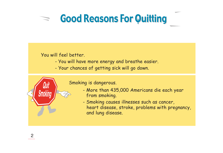## **Good Reasons For Quitting**

#### You will feel better.

- You will have more energy and breathe easier.
- Your chances of getting sick will go down.



#### Smoking is dangerous.

- More than 435,000 Americans die each year from smoking.
- Smoking causes illnesses such as cancer, heart disease, stroke, problems with pregnancy, and lung disease.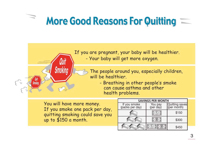## More Good Reasons For Quitting  $\equiv$



If you are pregnant, your baby will be healthier.

- Your baby will get more oxygen.

The people around you, especially children, will be healthier.

> - Breathing in other people's smoke can cause asthma and other health problems.

You will have more money. If you smoke one pack per day, quitting smoking could save you up to \$150 a month.

| <b>SAVINGS PER MONTH</b>        |                     |                |
|---------------------------------|---------------------|----------------|
| If you smoke<br>(packs per day) | You pay<br>(per day | Quitting saves |
|                                 |                     | \$150          |
|                                 |                     | \$300          |
|                                 |                     | \$450          |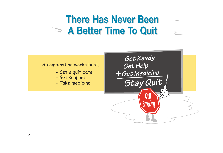### **There Has Never Been A Better Time To Quit**

#### A combination works best.

- Set a quit date.
- Get support.
- Take medicine.

Get Ready Get Help + Get Medicine Stay Quit Quit

Smoking

4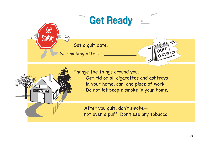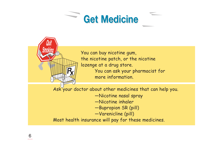



You can buy nicotine gum, the nicotine patch, or the nicotine lozenge at a drug store. You can ask your pharmacist for more information.

Ask your doctor about other medicines that can help you. —Nicotine nasal spray —Nicotine inhaler —Bupropion SR (pill) —Varenicline (pill) Most health insurance will pay for these medicines.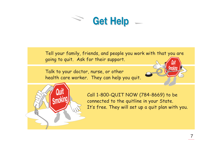

Tell your family, friends, and people you work with that you are going to quit. Ask for their support.

Talk to your doctor, nurse, or other health care worker. They can help you quit.





Call 1-800-QUIT NOW (784-8669) to be connected to the quitline in your State. It's free. They will set up a quit plan with you.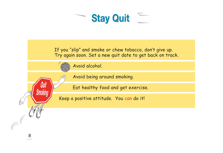

If you "slip" and smoke or chew tobacco, don't give up. Try again soon. Set a new quit date to get back on track.

Avoid alcohol.

Avoid being around smoking.

Eat healthy food and get exercise.

Keep a positive attitude. You can do it!

UUIL

Smokin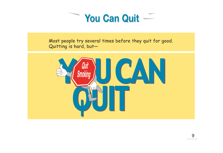

Most people try several times before they quit for good. Quitting is hard, but—